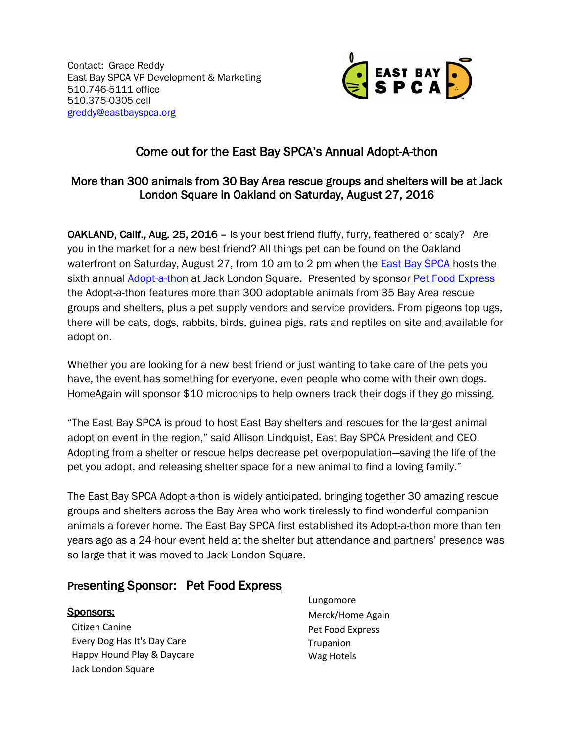Contact: Grace Reddy East Bay SPCA VP Development & Marketing 510.746-5111 office 510.375-0305 cell [greddy@eastbayspca.org](mailto:greddy@eastbayspca.org)



# Come out for the East Bay SPCA's Annual Adopt-A-thon

## More than 300 animals from 30 Bay Area rescue groups and shelters will be at Jack London Square in Oakland on Saturday, August 27, 2016

OAKLAND, Calif., Aug. 25, 2016 – Is your best friend fluffy, furry, feathered or scaly? Are you in the market for a new best friend? All things pet can be found on the Oakland waterfront on Saturday, August 27, from 10 am to 2 pm when the [East Bay SPCA](https://www.eastbayspca.org/) hosts the sixth annual **Adopt-a-thon** at Jack London Square. Presented by sponsor **Pet Food Express** the Adopt-a-thon features more than 300 adoptable animals from 35 Bay Area rescue groups and shelters, plus a pet supply vendors and service providers. From pigeons top ugs, there will be cats, dogs, rabbits, birds, guinea pigs, rats and reptiles on site and available for adoption.

Whether you are looking for a new best friend or just wanting to take care of the pets you have, the event has something for everyone, even people who come with their own dogs. HomeAgain will sponsor \$10 microchips to help owners track their dogs if they go missing.

"The East Bay SPCA is proud to host East Bay shelters and rescues for the largest animal adoption event in the region," said Allison Lindquist, East Bay SPCA President and CEO. Adopting from a shelter or rescue helps decrease pet overpopulation—saving the life of the pet you adopt, and releasing shelter space for a new animal to find a loving family."

The East Bay SPCA Adopt-a-thon is widely anticipated, bringing together 30 amazing rescue groups and shelters across the Bay Area who work tirelessly to find wonderful companion animals a forever home. The East Bay SPCA first established its Adopt-a-thon more than ten years ago as a 24-hour event held at the shelter but attendance and partners' presence was so large that it was moved to Jack London Square.

## Presenting Sponsor: Pet Food Express

## Sponsors:

Citizen Canine Every Dog Has It's Day Care Happy Hound Play & Daycare Jack London Square

Lungomore Merck/Home Again Pet Food Express Trupanion Wag Hotels